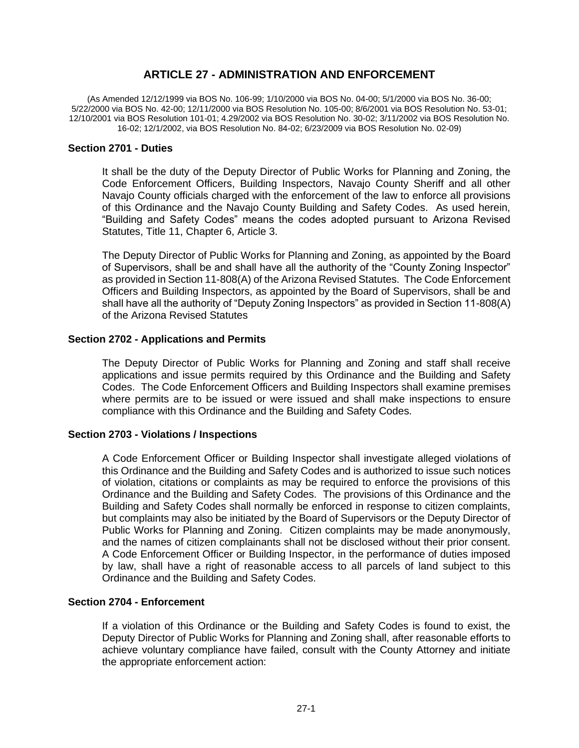# **ARTICLE 27 - ADMINISTRATION AND ENFORCEMENT**

(As Amended 12/12/1999 via BOS No. 106-99; 1/10/2000 via BOS No. 04-00; 5/1/2000 via BOS No. 36-00; 5/22/2000 via BOS No. 42-00; 12/11/2000 via BOS Resolution No. 105-00; 8/6/2001 via BOS Resolution No. 53-01; 12/10/2001 via BOS Resolution 101-01; 4.29/2002 via BOS Resolution No. 30-02; 3/11/2002 via BOS Resolution No. 16-02; 12/1/2002, via BOS Resolution No. 84-02; 6/23/2009 via BOS Resolution No. 02-09)

### **Section 2701 - Duties**

It shall be the duty of the Deputy Director of Public Works for Planning and Zoning, the Code Enforcement Officers, Building Inspectors, Navajo County Sheriff and all other Navajo County officials charged with the enforcement of the law to enforce all provisions of this Ordinance and the Navajo County Building and Safety Codes. As used herein, "Building and Safety Codes" means the codes adopted pursuant to Arizona Revised Statutes, Title 11, Chapter 6, Article 3.

The Deputy Director of Public Works for Planning and Zoning, as appointed by the Board of Supervisors, shall be and shall have all the authority of the "County Zoning Inspector" as provided in Section 11-808(A) of the Arizona Revised Statutes. The Code Enforcement Officers and Building Inspectors, as appointed by the Board of Supervisors, shall be and shall have all the authority of "Deputy Zoning Inspectors" as provided in Section 11-808(A) of the Arizona Revised Statutes

### **Section 2702 - Applications and Permits**

The Deputy Director of Public Works for Planning and Zoning and staff shall receive applications and issue permits required by this Ordinance and the Building and Safety Codes. The Code Enforcement Officers and Building Inspectors shall examine premises where permits are to be issued or were issued and shall make inspections to ensure compliance with this Ordinance and the Building and Safety Codes.

## **Section 2703 - Violations / Inspections**

A Code Enforcement Officer or Building Inspector shall investigate alleged violations of this Ordinance and the Building and Safety Codes and is authorized to issue such notices of violation, citations or complaints as may be required to enforce the provisions of this Ordinance and the Building and Safety Codes. The provisions of this Ordinance and the Building and Safety Codes shall normally be enforced in response to citizen complaints, but complaints may also be initiated by the Board of Supervisors or the Deputy Director of Public Works for Planning and Zoning. Citizen complaints may be made anonymously, and the names of citizen complainants shall not be disclosed without their prior consent. A Code Enforcement Officer or Building Inspector, in the performance of duties imposed by law, shall have a right of reasonable access to all parcels of land subject to this Ordinance and the Building and Safety Codes.

### **Section 2704 - Enforcement**

If a violation of this Ordinance or the Building and Safety Codes is found to exist, the Deputy Director of Public Works for Planning and Zoning shall, after reasonable efforts to achieve voluntary compliance have failed, consult with the County Attorney and initiate the appropriate enforcement action: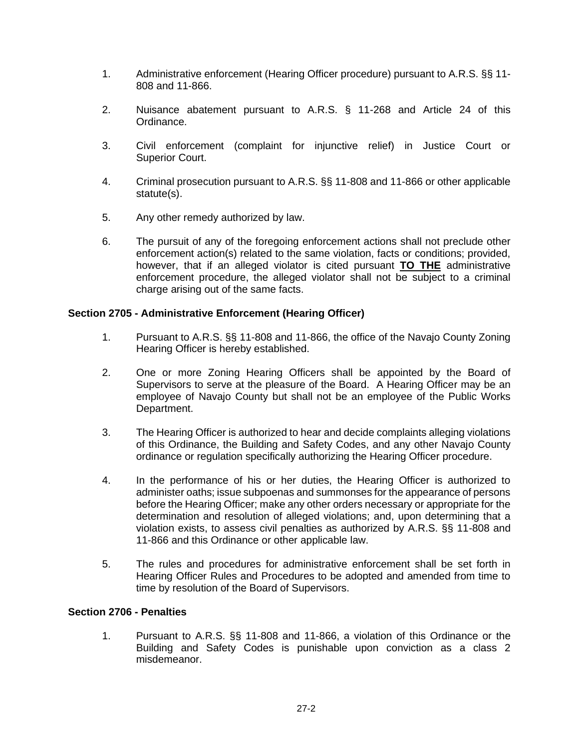- 1. Administrative enforcement (Hearing Officer procedure) pursuant to A.R.S. §§ 11- 808 and 11-866.
- 2. Nuisance abatement pursuant to A.R.S. § 11-268 and Article 24 of this Ordinance.
- 3. Civil enforcement (complaint for injunctive relief) in Justice Court or Superior Court.
- 4. Criminal prosecution pursuant to A.R.S. §§ 11-808 and 11-866 or other applicable statute(s).
- 5. Any other remedy authorized by law.
- 6. The pursuit of any of the foregoing enforcement actions shall not preclude other enforcement action(s) related to the same violation, facts or conditions; provided, however, that if an alleged violator is cited pursuant **TO THE** administrative enforcement procedure, the alleged violator shall not be subject to a criminal charge arising out of the same facts.

## **Section 2705 - Administrative Enforcement (Hearing Officer)**

- 1. Pursuant to A.R.S. §§ 11-808 and 11-866, the office of the Navajo County Zoning Hearing Officer is hereby established.
- 2. One or more Zoning Hearing Officers shall be appointed by the Board of Supervisors to serve at the pleasure of the Board. A Hearing Officer may be an employee of Navajo County but shall not be an employee of the Public Works Department.
- 3. The Hearing Officer is authorized to hear and decide complaints alleging violations of this Ordinance, the Building and Safety Codes, and any other Navajo County ordinance or regulation specifically authorizing the Hearing Officer procedure.
- 4. In the performance of his or her duties, the Hearing Officer is authorized to administer oaths; issue subpoenas and summonses for the appearance of persons before the Hearing Officer; make any other orders necessary or appropriate for the determination and resolution of alleged violations; and, upon determining that a violation exists, to assess civil penalties as authorized by A.R.S. §§ 11-808 and 11-866 and this Ordinance or other applicable law.
- 5. The rules and procedures for administrative enforcement shall be set forth in Hearing Officer Rules and Procedures to be adopted and amended from time to time by resolution of the Board of Supervisors.

## **Section 2706 - Penalties**

1. Pursuant to A.R.S. §§ 11-808 and 11-866, a violation of this Ordinance or the Building and Safety Codes is punishable upon conviction as a class 2 misdemeanor.